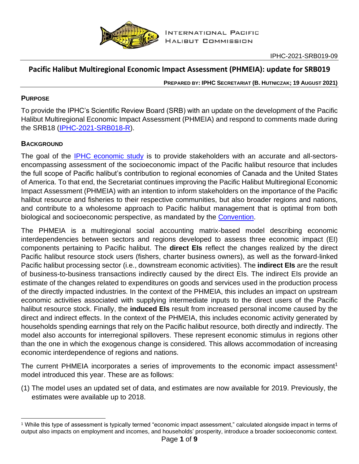

# **Pacific Halibut Multiregional Economic Impact Assessment (PHMEIA): update for SRB019**

**PREPARED BY: IPHC SECRETARIAT (B. HUTNICZAK; 19 AUGUST 2021)**

## **PURPOSE**

To provide the IPHC's Scientific Review Board (SRB) with an update on the development of the Pacific Halibut Multiregional Economic Impact Assessment (PHMEIA) and respond to comments made during the SRB18 [\(IPHC-2021-SRB018-R\)](https://www.iphc.int/uploads/pdf/srb/srb018/iphc-2021-srb018-r.pdf).

## **BACKGROUND**

The goal of the [IPHC economic study](https://www.iphc.int/management/economic-research) is to provide stakeholders with an accurate and all-sectorsencompassing assessment of the socioeconomic impact of the Pacific halibut resource that includes the full scope of Pacific halibut's contribution to regional economies of Canada and the United States of America. To that end, the Secretariat continues improving the Pacific Halibut Multiregional Economic Impact Assessment (PHMEIA) with an intention to inform stakeholders on the importance of the Pacific halibut resource and fisheries to their respective communities, but also broader regions and nations, and contribute to a wholesome approach to Pacific halibut management that is optimal from both biological and socioeconomic perspective, as mandated by the [Convention.](https://www.iphc.int/uploads/pdf/basic-texts/iphc-1979-pacific-halibut-convention.pdf)

The PHMEIA is a multiregional social accounting matrix-based model describing economic interdependencies between sectors and regions developed to assess three economic impact (EI) components pertaining to Pacific halibut. The **direct EIs** reflect the changes realized by the direct Pacific halibut resource stock users (fishers, charter business owners), as well as the forward-linked Pacific halibut processing sector (i.e., downstream economic activities). The **indirect EIs** are the result of business-to-business transactions indirectly caused by the direct EIs. The indirect EIs provide an estimate of the changes related to expenditures on goods and services used in the production process of the directly impacted industries. In the context of the PHMEIA, this includes an impact on upstream economic activities associated with supplying intermediate inputs to the direct users of the Pacific halibut resource stock. Finally, the **induced EIs** result from increased personal income caused by the direct and indirect effects. In the context of the PHMEIA, this includes economic activity generated by households spending earnings that rely on the Pacific halibut resource, both directly and indirectly. The model also accounts for interregional spillovers. These represent economic stimulus in regions other than the one in which the exogenous change is considered. This allows accommodation of increasing economic interdependence of regions and nations.

The current PHMEIA incorporates a series of improvements to the economic impact assessment<sup>1</sup> model introduced this year. These are as follows:

(1) The model uses an updated set of data, and estimates are now available for 2019. Previously, the estimates were available up to 2018.

<sup>1</sup> While this type of assessment is typically termed "economic impact assessment," calculated alongside impact in terms of output also impacts on employment and incomes, and households' prosperity, introduce a broader socioeconomic context.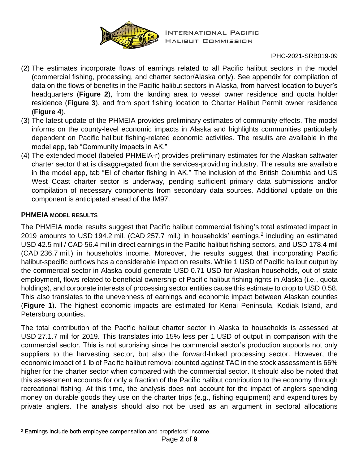

#### IPHC-2021-SRB019-09

- (2) The estimates incorporate flows of earnings related to all Pacific halibut sectors in the model (commercial fishing, processing, and charter sector/Alaska only). See appendix for compilation of data on the flows of benefits in the Pacific halibut sectors in Alaska, from harvest location to buyer's headquarters (**[Figure 2](#page-7-0)**), from the landing area to vessel owner residence and quota holder residence (**[Figure 3](#page-7-1)**), and from sport fishing location to Charter Halibut Permit owner residence (**[Figure 4](#page-8-0)**).
- (3) The latest update of the PHMEIA provides preliminary estimates of community effects. The model informs on the county-level economic impacts in Alaska and highlights communities particularly dependent on Pacific halibut fishing-related economic activities. The results are available in the model app, tab "Community impacts in AK."
- (4) The extended model (labeled PHMEIA-r) provides preliminary estimates for the Alaskan saltwater charter sector that is disaggregated from the services-providing industry. The results are available in the model app, tab "EI of charter fishing in AK." The inclusion of the British Columbia and US West Coast charter sector is underway, pending sufficient primary data submissions and/or compilation of necessary components from secondary data sources. Additional update on this component is anticipated ahead of the IM97.

### **PHMEIA MODEL RESULTS**

The PHMEIA model results suggest that Pacific halibut commercial fishing's total estimated impact in 2019 amounts to USD 194.2 mil. (CAD 257.7 mil.) in households' earnings,<sup>2</sup> including an estimated USD 42.5 mil / CAD 56.4 mil in direct earnings in the Pacific halibut fishing sectors, and USD 178.4 mil (CAD 236.7 mil.) in households income. Moreover, the results suggest that incorporating Pacific halibut-specific outflows has a considerable impact on results. While 1 USD of Pacific halibut output by the commercial sector in Alaska could generate USD 0.71 USD for Alaskan households, out-of-state employment, flows related to beneficial ownership of Pacific halibut fishing rights in Alaska (i.e., quota holdings), and corporate interests of processing sector entities cause this estimate to drop to USD 0.58. This also translates to the unevenness of earnings and economic impact between Alaskan counties (**[Figure 1](#page-2-0)**). The highest economic impacts are estimated for Kenai Peninsula, Kodiak Island, and Petersburg counties.

The total contribution of the Pacific halibut charter sector in Alaska to households is assessed at USD 27.1.7 mil for 2019. This translates into 15% less per 1 USD of output in comparison with the commercial sector. This is not surprising since the commercial sector's production supports not only suppliers to the harvesting sector, but also the forward-linked processing sector. However, the economic impact of 1 lb of Pacific halibut removal counted against TAC in the stock assessment is 66% higher for the charter sector when compared with the commercial sector. It should also be noted that this assessment accounts for only a fraction of the Pacific halibut contribution to the economy through recreational fishing. At this time, the analysis does not account for the impact of anglers spending money on durable goods they use on the charter trips (e.g., fishing equipment) and expenditures by private anglers. The analysis should also not be used as an argument in sectoral allocations

<sup>2</sup> Earnings include both employee compensation and proprietors' income.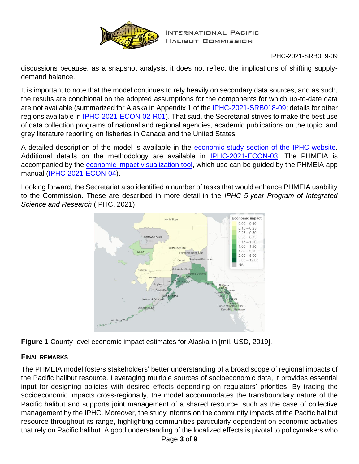

discussions because, as a snapshot analysis, it does not reflect the implications of shifting supplydemand balance.

It is important to note that the model continues to rely heavily on secondary data sources, and as such, the results are conditional on the adopted assumptions for the components for which up-to-date data are not available (summarized for Alaska in Appendix 1 of the [IPHC-2021-SRB018-09;](https://www.iphc.int/uploads/pdf/srb/srb018/iphc-2021-srb018-09.pdf) details for other regions available in [IPHC-2021-ECON-02-R01\)](https://www.iphc.int/uploads/pdf/economics/2021/iphc-2021-econ-02.pdf). That said, the Secretariat strives to make the best use of data collection programs of national and regional agencies, academic publications on the topic, and grey literature reporting on fisheries in Canada and the United States.

A detailed description of the model is available in the [economic study section of the IPHC website.](https://www.iphc.int/management/science-and-research/economic-research) Additional details on the methodology are available in **IPHC-2021-ECON-03**. The PHMEIA is accompanied by the [economic impact visualization tool,](http://iphcecon.westus2.cloudapp.azure.com:3838/ModelApp_azure/) which use can be guided by the PHMEIA app manual [\(IPHC-2021-ECON-04\)](https://econdat.blob.core.windows.net/data2share/IPHC-2021-ECON-04-PHMEIA_app_manual.pdf).

Looking forward, the Secretariat also identified a number of tasks that would enhance PHMEIA usability to the Commission. These are described in more detail in the *IPHC 5-year Program of Integrated Science and Research* (IPHC, 2021).



<span id="page-2-0"></span>**Figure 1** County-level economic impact estimates for Alaska in [mil. USD, 2019].

## **FINAL REMARKS**

The PHMEIA model fosters stakeholders' better understanding of a broad scope of regional impacts of the Pacific halibut resource. Leveraging multiple sources of socioeconomic data, it provides essential input for designing policies with desired effects depending on regulators' priorities. By tracing the socioeconomic impacts cross-regionally, the model accommodates the transboundary nature of the Pacific halibut and supports joint management of a shared resource, such as the case of collective management by the IPHC. Moreover, the study informs on the community impacts of the Pacific halibut resource throughout its range, highlighting communities particularly dependent on economic activities that rely on Pacific halibut. A good understanding of the localized effects is pivotal to policymakers who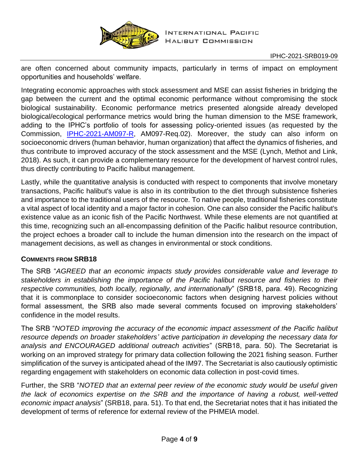

are often concerned about community impacts, particularly in terms of impact on employment opportunities and households' welfare.

Integrating economic approaches with stock assessment and MSE can assist fisheries in bridging the gap between the current and the optimal economic performance without compromising the stock biological sustainability. Economic performance metrics presented alongside already developed biological/ecological performance metrics would bring the human dimension to the MSE framework, adding to the IPHC's portfolio of tools for assessing policy-oriented issues (as requested by the Commission, [IPHC-2021-AM097-R,](https://iphc.int/uploads/pdf/am/am097/iphc-2021-am097-r.pdf) AM097-Req.02). Moreover, the study can also inform on socioeconomic drivers (human behavior, human organization) that affect the dynamics of fisheries, and thus contribute to improved accuracy of the stock assessment and the MSE (Lynch, Methot and Link, 2018). As such, it can provide a complementary resource for the development of harvest control rules, thus directly contributing to Pacific halibut management.

Lastly, while the quantitative analysis is conducted with respect to components that involve monetary transactions, Pacific halibut's value is also in its contribution to the diet through subsistence fisheries and importance to the traditional users of the resource. To native people, traditional fisheries constitute a vital aspect of local identity and a major factor in cohesion. One can also consider the Pacific halibut's existence value as an iconic fish of the Pacific Northwest. While these elements are not quantified at this time, recognizing such an all-encompassing definition of the Pacific halibut resource contribution, the project echoes a broader call to include the human dimension into the research on the impact of management decisions, as well as changes in environmental or stock conditions.

## **COMMENTS FROM SRB18**

The SRB "*AGREED that an economic impacts study provides considerable value and leverage to stakeholders in establishing the importance of the Pacific halibut resource and fisheries to their respective communities, both locally, regionally, and internationally*" (SRB18, para. 49). Recognizing that it is commonplace to consider socioeconomic factors when designing harvest policies without formal assessment, the SRB also made several comments focused on improving stakeholders' confidence in the model results.

The SRB "*NOTED improving the accuracy of the economic impact assessment of the Pacific halibut resource depends on broader stakeholders' active participation in developing the necessary data for analysis and ENCOURAGED additional outreach activities*" (SRB18, para. 50). The Secretariat is working on an improved strategy for primary data collection following the 2021 fishing season. Further simplification of the survey is anticipated ahead of the IM97. The Secretariat is also cautiously optimistic regarding engagement with stakeholders on economic data collection in post-covid times.

Further, the SRB "*NOTED that an external peer review of the economic study would be useful given the lack of economics expertise on the SRB and the importance of having a robust, well-vetted economic impact analysis*" (SRB18, para. 51). To that end, the Secretariat notes that it has initiated the development of terms of reference for external review of the PHMEIA model.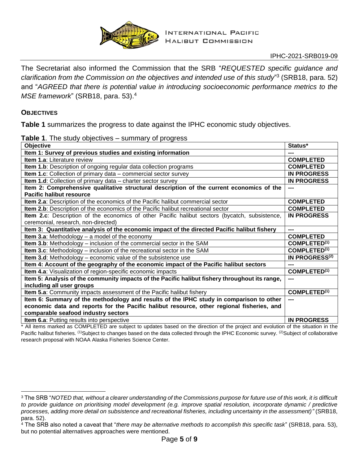

#### IPHC-2021-SRB019-09

The Secretariat also informed the Commission that the SRB "*REQUESTED specific guidance and clarification from the Commission on the objectives and intended use of this study*" 3 (SRB18, para. 52) and "*AGREED that there is potential value in introducing socioeconomic performance metrics to the MSE framework*" (SRB18, para. 53).<sup>4</sup>

#### **OBJECTIVES**

**[Table 1](#page-4-0)** summarizes the progress to date against the IPHC economic study objectives.

#### <span id="page-4-0"></span>**Table 1**. The study objectives – summary of progress

| Objective                                                                                      | Status*                    |
|------------------------------------------------------------------------------------------------|----------------------------|
| Item 1: Survey of previous studies and existing information                                    | ---                        |
| <b>Item 1.a: Literature review</b>                                                             | <b>COMPLETED</b>           |
| Item 1.b: Description of ongoing regular data collection programs                              | <b>COMPLETED</b>           |
| Item 1.c: Collection of primary data - commercial sector survey                                | <b>IN PROGRESS</b>         |
| Item 1.d: Collection of primary data - charter sector survey                                   | <b>IN PROGRESS</b>         |
| Item 2: Comprehensive qualitative structural description of the current economics of the       |                            |
| Pacific halibut resource                                                                       |                            |
| Item 2.a: Description of the economics of the Pacific halibut commercial sector                | <b>COMPLETED</b>           |
| Item 2.b: Description of the economics of the Pacific halibut recreational sector              | <b>COMPLETED</b>           |
| Item 2.c: Description of the economics of other Pacific halibut sectors (bycatch, subsistence, | <b>IN PROGRESS</b>         |
| ceremonial, research, non-directed)                                                            |                            |
| Item 3: Quantitative analysis of the economic impact of the directed Pacific halibut fishery   | ---                        |
| <b>Item 3.a:</b> Methodology $-$ a model of the economy                                        | <b>COMPLETED</b>           |
| Item 3.b: Methodology - inclusion of the commercial sector in the SAM                          | COMPLETED <sup>(1)</sup>   |
| Item 3.c: Methodology - inclusion of the recreational sector in the SAM                        | COMPLETED <sup>(1)</sup>   |
| <b>Item 3.d:</b> Methodology – economic value of the subsistence use                           | IN PROGRESS <sup>(2)</sup> |
|                                                                                                |                            |
| Item 4: Account of the geography of the economic impact of the Pacific halibut sectors         | ---                        |
| Item 4.a: Visualization of region-specific economic impacts                                    | COMPLETED <sup>(1)</sup>   |
| Item 5: Analysis of the community impacts of the Pacific halibut fishery throughout its range, | ---                        |
| including all user groups                                                                      |                            |
| Item 5.a: Community impacts assessment of the Pacific halibut fishery                          | COMPLETED <sup>(1)</sup>   |
| Item 6: Summary of the methodology and results of the IPHC study in comparison to other        |                            |
| economic data and reports for the Pacific halibut resource, other regional fisheries, and      |                            |
| comparable seafood industry sectors                                                            |                            |

\* All items marked as COMPLETED are subject to updates based on the direction of the project and evolution of the situation in the Pacific halibut fisheries. (1)Subject to changes based on the data collected through the IPHC Economic survey. (2)Subject of collaborative research proposal with NOAA Alaska Fisheries Science Center.

<sup>3</sup> The SRB "*NOTED that, without a clearer understanding of the Commissions purpose for future use of this work, it is difficult to provide guidance on prioritising model development (e.g. improve spatial resolution, incorporate dynamic / predictive processes, adding more detail on subsistence and recreational fisheries, including uncertainty in the assessment)"* (SRB18, para. 52).

<sup>4</sup> The SRB also noted a caveat that "*there may be alternative methods to accomplish this specific task*" (SRB18, para. 53), but no potential alternatives approaches were mentioned.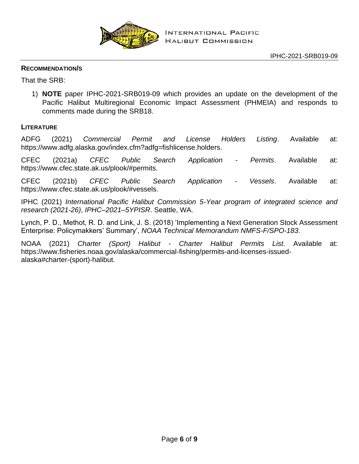

#### **RECOMMENDATION/S**

That the SRB:

1) **NOTE** paper IPHC-2021-SRB019-09 which provides an update on the development of the Pacific Halibut Multiregional Economic Impact Assessment (PHMEIA) and responds to comments made during the SRB18.

### **LITERATURE**

ADFG (2021) *Commercial Permit and License Holders Listing*. Available at: https://www.adfg.alaska.gov/index.cfm?adfg=fishlicense.holders.

CFEC (2021a) *CFEC Public Search Application - Permits*. Available at: https://www.cfec.state.ak.us/plook/#permits.

CFEC (2021b) *CFEC Public Search Application - Vessels*. Available at: https://www.cfec.state.ak.us/plook/#vessels.

IPHC (2021) *International Pacific Halibut Commission 5-Year program of integrated science and research (2021-26)*, *IPHC–2021–5YPISR*. Seattle, WA.

Lynch, P. D., Methot, R. D. and Link, J. S. (2018) 'Implementing a Next Generation Stock Assessment Enterprise: Policymakkers' Summary', *NOAA Technical Memorandum NMFS-F/SPO-183*.

NOAA (2021) *Charter (Sport) Halibut - Charter Halibut Permits List*. Available at: https://www.fisheries.noaa.gov/alaska/commercial-fishing/permits-and-licenses-issuedalaska#charter-(sport)-halibut.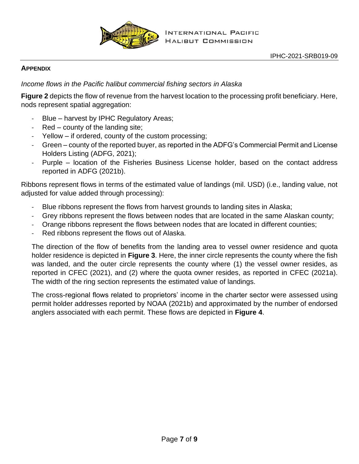

### **APPENDIX**

*Income flows in the Pacific halibut commercial fishing sectors in Alaska*

**[Figure 2](#page-7-0)** depicts the flow of revenue from the harvest location to the processing profit beneficiary. Here, nods represent spatial aggregation:

- Blue harvest by IPHC Regulatory Areas;
- Red county of the landing site;
- Yellow if ordered, county of the custom processing;
- Green county of the reported buyer, as reported in the ADFG's Commercial Permit and License Holders Listing (ADFG, 2021);
- Purple location of the Fisheries Business License holder, based on the contact address reported in ADFG (2021b).

Ribbons represent flows in terms of the estimated value of landings (mil. USD) (i.e., landing value, not adjusted for value added through processing):

- Blue ribbons represent the flows from harvest grounds to landing sites in Alaska;
- Grey ribbons represent the flows between nodes that are located in the same Alaskan county;
- Orange ribbons represent the flows between nodes that are located in different counties;
- Red ribbons represent the flows out of Alaska.

The direction of the flow of benefits from the landing area to vessel owner residence and quota holder residence is depicted in **[Figure 3](#page-7-1)**. Here, the inner circle represents the county where the fish was landed, and the outer circle represents the county where (1) the vessel owner resides, as reported in CFEC (2021), and (2) where the quota owner resides, as reported in CFEC (2021a). The width of the ring section represents the estimated value of landings.

The cross-regional flows related to proprietors' income in the charter sector were assessed using permit holder addresses reported by NOAA (2021b) and approximated by the number of endorsed anglers associated with each permit. These flows are depicted in **[Figure 4](#page-8-0)**.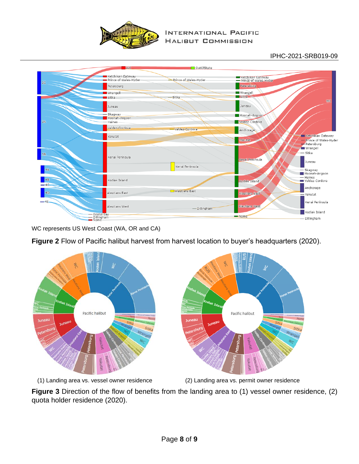

#### **INTERNATIONAL PACIFIC HALIBUT COMMISSION**

### IPHC-2021-SRB019-09



WC represents US West Coast (WA, OR and CA)

## <span id="page-7-0"></span>**Figure 2** Flow of Pacific halibut harvest from harvest location to buyer's headquarters (2020).



(1) Landing area vs. vessel owner residence (2) Landing area vs. permit owner residence

<span id="page-7-1"></span>**Figure 3** Direction of the flow of benefits from the landing area to (1) vessel owner residence, (2) quota holder residence (2020).